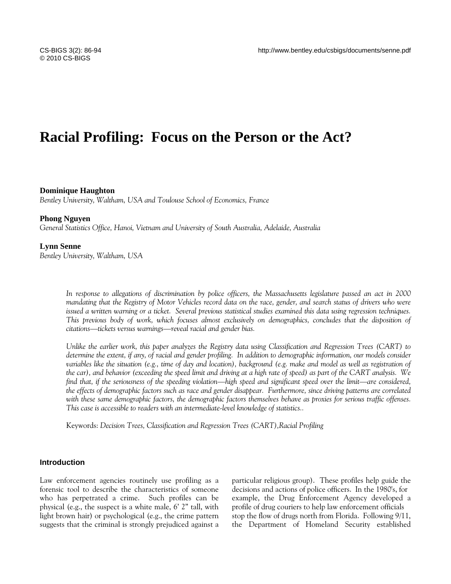# **Racial Profiling: Focus on the Person or the Act?**

# **Dominique Haughton**

*Bentley University, Waltham, USA and Toulouse School of Economics, France* 

#### **Phong Nguyen**

*General Statistics Office, Hanoi, Vietnam and University of South Australia, Adelaide, Australia* 

#### **Lynn Senne**

*Bentley University, Waltham, USA* 

*In response to allegations of discrimination by police officers, the Massachusetts legislature passed an act in 2000 mandating that the Registry of Motor Vehicles record data on the race, gender, and search status of drivers who were issued a written warning or a ticket. Several previous statistical studies examined this data using regression techniques.*  This previous body of work, which focuses almost exclusively on demographics, concludes that the disposition of *citations—tickets versus warnings—reveal racial and gender bias.* 

*Unlike the earlier work, this paper analyzes the Registry data using Classification and Regression Trees (CART) to determine the extent, if any, of racial and gender profiling. In addition to demographic information, our models consider*  variables like the situation (e.g., time of day and location), background (e.g. make and model as well as registration of *the car), and behavior (exceeding the speed limit and driving at a high rate of speed) as part of the CART analysis. We find that, if the seriousness of the speeding violation—high speed and significant speed over the limit—are considered, the effects of demographic factors such as race and gender disappear. Furthermore, since driving patterns are correlated with these same demographic factors, the demographic factors themselves behave as proxies for serious traffic offenses. This case is accessible to readers with an intermediate-level knowledge of statistics..* 

Keywords: *Decision Trees, Classification and Regression Trees (CART),Racial Profiling* 

## **Introduction**

Law enforcement agencies routinely use profiling as a forensic tool to describe the characteristics of someone who has perpetrated a crime. Such profiles can be physical (e.g., the suspect is a white male, 6' 2" tall, with light brown hair) or psychological (e.g., the crime pattern suggests that the criminal is strongly prejudiced against a particular religious group). These profiles help guide the decisions and actions of police officers. In the 1980's, for example, the Drug Enforcement Agency developed a profile of drug couriers to help law enforcement officials stop the flow of drugs north from Florida. Following 9/11, the Department of Homeland Security established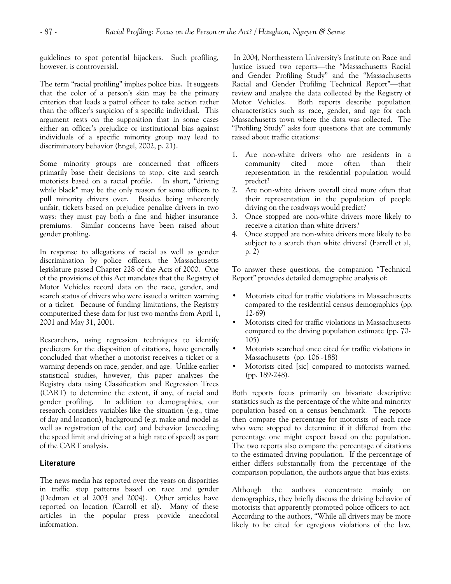guidelines to spot potential hijackers. Such profiling, however, is controversial.

The term "racial profiling" implies police bias. It suggests that the color of a person's skin may be the primary criterion that leads a patrol officer to take action rather than the officer's suspicion of a specific individual. This argument rests on the supposition that in some cases either an officer's prejudice or institutional bias against individuals of a specific minority group may lead to discriminatory behavior (Engel, 2002, p. 21).

Some minority groups are concerned that officers primarily base their decisions to stop, cite and search motorists based on a racial profile. In short, "driving while black" may be the only reason for some officers to pull minority drivers over. Besides being inherently unfair, tickets based on prejudice penalize drivers in two ways: they must pay both a fine and higher insurance premiums. Similar concerns have been raised about gender profiling.

In response to allegations of racial as well as gender discrimination by police officers, the Massachusetts legislature passed Chapter 228 of the Acts of 2000. One of the provisions of this Act mandates that the Registry of Motor Vehicles record data on the race, gender, and search status of drivers who were issued a written warning or a ticket. Because of funding limitations, the Registry computerized these data for just two months from April 1, 2001 and May 31, 2001.

Researchers, using regression techniques to identify predictors for the disposition of citations, have generally concluded that whether a motorist receives a ticket or a warning depends on race, gender, and age. Unlike earlier statistical studies, however, this paper analyzes the Registry data using Classification and Regression Trees (CART) to determine the extent, if any, of racial and gender profiling. In addition to demographics, our research considers variables like the situation (e.g., time of day and location), background (e.g. make and model as well as registration of the car) and behavior (exceeding the speed limit and driving at a high rate of speed) as part of the CART analysis.

## **Literature**

The news media has reported over the years on disparities in traffic stop patterns based on race and gender (Dedman et al 2003 and 2004). Other articles have reported on location (Carroll et al). Many of these articles in the popular press provide anecdotal information.

 In 2004, Northeastern University's Institute on Race and Justice issued two reports—the "Massachusetts Racial and Gender Profiling Study" and the "Massachusetts Racial and Gender Profiling Technical Report"—that review and analyze the data collected by the Registry of Motor Vehicles. Both reports describe population characteristics such as race, gender, and age for each Massachusetts town where the data was collected. The "Profiling Study" asks four questions that are commonly raised about traffic citations:

- 1. Are non-white drivers who are residents in a community cited more often than their representation in the residential population would predict?
- 2. Are non-white drivers overall cited more often that their representation in the population of people driving on the roadways would predict?
- 3. Once stopped are non-white drivers more likely to receive a citation than white drivers?
- 4. Once stopped are non-white drivers more likely to be subject to a search than white drivers? (Farrell et al, p. 2)

To answer these questions, the companion "Technical Report" provides detailed demographic analysis of:

- Motorists cited for traffic violations in Massachusetts compared to the residential census demographics (pp. 12-69)
- Motorists cited for traffic violations in Massachusetts compared to the driving population estimate (pp. 70- 105)
- Motorists searched once cited for traffic violations in Massachusetts (pp. 106 -188)
- Motorists cited [sic] compared to motorists warned. (pp. 189-248).

Both reports focus primarily on bivariate descriptive statistics such as the percentage of the white and minority population based on a census benchmark. The reports then compare the percentage for motorists of each race who were stopped to determine if it differed from the percentage one might expect based on the population. The two reports also compare the percentage of citations to the estimated driving population. If the percentage of either differs substantially from the percentage of the comparison population, the authors argue that bias exists.

Although the authors concentrate mainly on demographics, they briefly discuss the driving behavior of motorists that apparently prompted police officers to act. According to the authors, "While all drivers may be more likely to be cited for egregious violations of the law,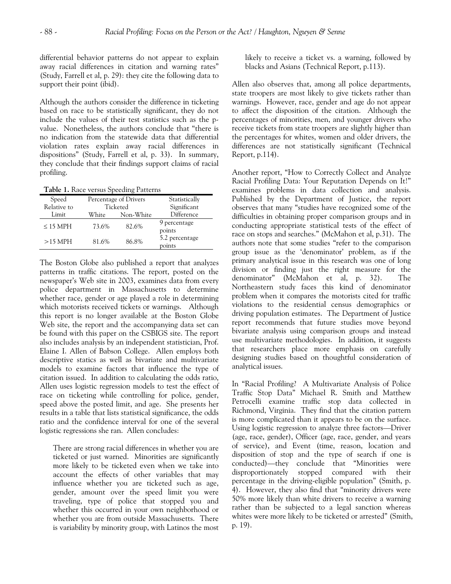differential behavior patterns do not appear to explain away racial differences in citation and warning rates" (Study, Farrell et al, p. 29): they cite the following data to support their point (ibid).

Although the authors consider the difference in ticketing based on race to be statistically significant, they do not include the values of their test statistics such as the pvalue. Nonetheless, the authors conclude that "there is no indication from the statewide data that differential violation rates explain away racial differences in dispositions" (Study, Farrell et al, p. 33). In summary, they conclude that their findings support claims of racial profiling.

**Table 1.** Race versus Speeding Patterns

| Speed<br>Relative to | Percentage of Drivers<br>Ticketed |           | Statistically<br>Significant |
|----------------------|-----------------------------------|-----------|------------------------------|
| Limit                | White                             | Non-White | Difference                   |
| $\leq$ 15 MPH        | 73.6%                             | 82.6%     | 9 percentage<br>points       |
| $>15$ MPH            | 81.6%                             | 86.8%     | 5.2 percentage<br>points     |

The Boston Globe also published a report that analyzes patterns in traffic citations. The report, posted on the newspaper's Web site in 2003, examines data from every police department in Massachusetts to determine whether race, gender or age played a role in determining which motorists received tickets or warnings. Although this report is no longer available at the Boston Globe Web site, the report and the accompanying data set can be found with this paper on the CSBIGS site. The report also includes analysis by an independent statistician, Prof. Elaine I. Allen of Babson College. Allen employs both descriptive statics as well as bivariate and multivariate models to examine factors that influence the type of citation issued. In addition to calculating the odds ratio, Allen uses logistic regression models to test the effect of race on ticketing while controlling for police, gender, speed above the posted limit, and age. She presents her results in a table that lists statistical significance, the odds ratio and the confidence interval for one of the several logistic regressions she ran. Allen concludes:

There are strong racial differences in whether you are ticketed or just warned. Minorities are significantly more likely to be ticketed even when we take into account the effects of other variables that may influence whether you are ticketed such as age, gender, amount over the speed limit you were traveling, type of police that stopped you and whether this occurred in your own neighborhood or whether you are from outside Massachusetts. There is variability by minority group, with Latinos the most likely to receive a ticket vs. a warning, followed by blacks and Asians (Technical Report, p.113).

Allen also observes that, among all police departments, state troopers are most likely to give tickets rather than warnings. However, race, gender and age do not appear to affect the disposition of the citation. Although the percentages of minorities, men, and younger drivers who receive tickets from state troopers are slightly higher than the percentages for whites, women and older drivers, the differences are not statistically significant (Technical Report, p.114).

Another report, "How to Correctly Collect and Analyze Racial Profiling Data: Your Reputation Depends on It!" examines problems in data collection and analysis. Published by the Department of Justice, the report observes that many "studies have recognized some of the difficulties in obtaining proper comparison groups and in conducting appropriate statistical tests of the effect of race on stops and searches." (McMahon et al, p.31). The authors note that some studies "refer to the comparison group issue as the 'denominator' problem, as if the primary analytical issue in this research was one of long division or finding just the right measure for the denominator" (McMahon et al, p. 32). The Northeastern study faces this kind of denominator problem when it compares the motorists cited for traffic violations to the residential census demographics or driving population estimates. The Department of Justice report recommends that future studies move beyond bivariate analysis using comparison groups and instead use multivariate methodologies. In addition, it suggests that researchers place more emphasis on carefully designing studies based on thoughtful consideration of analytical issues.

In "Racial Profiling? A Multivariate Analysis of Police Traffic Stop Data" Michael R. Smith and Matthew Petrocelli examine traffic stop data collected in Richmond, Virginia. They find that the citation pattern is more complicated than it appears to be on the surface. Using logistic regression to analyze three factors—Driver (age, race, gender), Officer (age, race, gender, and years of service), and Event (time, reason, location and disposition of stop and the type of search if one is conducted)—they conclude that "Minorities were disproportionately stopped compared with their percentage in the driving-eligible population" (Smith, p. 4). However, they also find that "minority drivers were 50% more likely than white drivers to receive a warning rather than be subjected to a legal sanction whereas whites were more likely to be ticketed or arrested" (Smith, p. 19).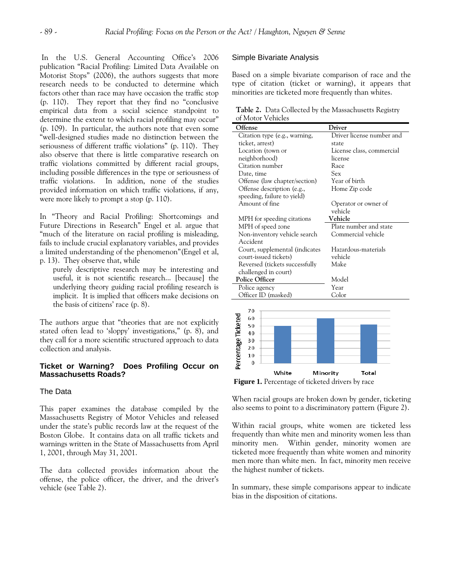In the U.S. General Accounting Office's 2006 publication "Racial Profiling: Limited Data Available on Motorist Stops" (2006), the authors suggests that more research needs to be conducted to determine which factors other than race may have occasion the traffic stop (p. 110). They report that they find no "conclusive empirical data from a social science standpoint to determine the extent to which racial profiling may occur" (p. 109). In particular, the authors note that even some "well-designed studies made no distinction between the seriousness of different traffic violations" (p. 110). They also observe that there is little comparative research on traffic violations committed by different racial groups, including possible differences in the type or seriousness of traffic violations. In addition, none of the studies provided information on which traffic violations, if any, were more likely to prompt a stop (p. 110).

In "Theory and Racial Profiling: Shortcomings and Future Directions in Research" Engel et al. argue that "much of the literature on racial profiling is misleading, fails to include crucial explanatory variables, and provides a limited understanding of the phenomenon"(Engel et al, p. 13). They observe that, while

purely descriptive research may be interesting and useful, it is not scientific research... [because] the underlying theory guiding racial profiling research is implicit. It is implied that officers make decisions on the basis of citizens' race (p. 8).

The authors argue that "theories that are not explicitly stated often lead to 'sloppy' investigations," (p. 8), and they call for a more scientific structured approach to data collection and analysis.

### **Ticket or Warning? Does Profiling Occur on Massachusetts Roads?**

## The Data

This paper examines the database compiled by the Massachusetts Registry of Motor Vehicles and released under the state's public records law at the request of the Boston Globe. It contains data on all traffic tickets and warnings written in the State of Massachusetts from April 1, 2001, through May 31, 2001.

The data collected provides information about the offense, the police officer, the driver, and the driver's vehicle (see Table 2).

## Simple Bivariate Analysis

Based on a simple bivariate comparison of race and the type of citation (ticket or warning), it appears that minorities are ticketed more frequently than whites.

**Table 2.** Data Collected by the Massachusetts Registry of Motor Vehicles

| Offense                        | Driver                    |  |
|--------------------------------|---------------------------|--|
| Citation type (e.g., warning,  | Driver license number and |  |
| ticket, arrest)                | state                     |  |
| Location (town or              | License class, commercial |  |
| neighborhood)                  | license                   |  |
| Citation number                | Race                      |  |
| Date, time                     | Sex                       |  |
| Offense (law chapter/section)  | Year of birth             |  |
| Offense description (e.g.,     | Home Zip code             |  |
| speeding, failure to yield)    |                           |  |
| Amount of fine                 | Operator or owner of      |  |
|                                | vehicle                   |  |
| MPH for speeding citations     | Vehicle                   |  |
| MPH of speed zone              | Plate number and state    |  |
| Non-inventory vehicle search   | Commercial vehicle        |  |
| Accident                       |                           |  |
| Court, supplemental (indicates | Hazardous-materials       |  |
| court-issued tickets)          | vehicle                   |  |
| Reversed (tickets successfully | Make                      |  |
| challenged in court)           |                           |  |
| <b>Police Officer</b>          | Model                     |  |
| Police agency                  | Year                      |  |
| Officer ID (masked)            | Color                     |  |
|                                |                           |  |
| 70                             |                           |  |
| 60                             |                           |  |
| 50                             |                           |  |
| 1 O                            |                           |  |



**Figure 1.** Percentage of ticketed drivers by race

When racial groups are broken down by gender, ticketing also seems to point to a discriminatory pattern (Figure 2).

Within racial groups, white women are ticketed less frequently than white men and minority women less than minority men. Within gender, minority women are ticketed more frequently than white women and minority men more than white men. In fact, minority men receive the highest number of tickets.

In summary, these simple comparisons appear to indicate bias in the disposition of citations.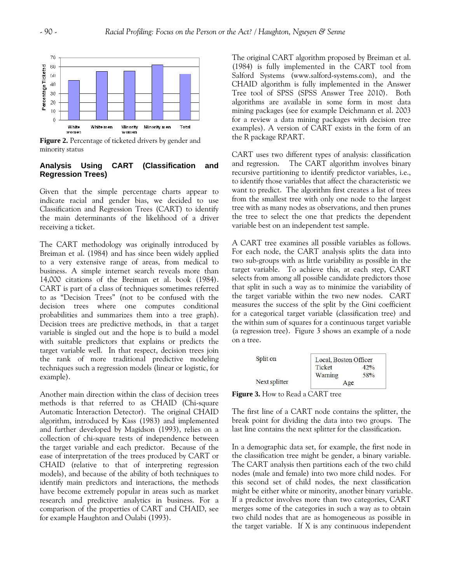

**Figure 2.** Percentage of ticketed drivers by gender and minority status

# **Analysis Using CART (Classification and Regression Trees)**

Given that the simple percentage charts appear to indicate racial and gender bias, we decided to use Classification and Regression Trees (CART) to identify the main determinants of the likelihood of a driver receiving a ticket.

The CART methodology was originally introduced by Breiman et al. (1984) and has since been widely applied to a very extensive range of areas, from medical to business. A simple internet search reveals more than 14,000 citations of the Breiman et al. book (1984). CART is part of a class of techniques sometimes referred to as "Decision Trees" (not to be confused with the decision trees where one computes conditional probabilities and summarizes them into a tree graph). Decision trees are predictive methods, in that a target variable is singled out and the hope is to build a model with suitable predictors that explains or predicts the target variable well. In that respect, decision trees join the rank of more traditional predictive modeling techniques such a regression models (linear or logistic, for example).

Another main direction within the class of decision trees methods is that referred to as CHAID (Chi-square Automatic Interaction Detector). The original CHAID algorithm, introduced by Kass (1983) and implemented and further developed by Magidson (1993), relies on a collection of chi-square tests of independence between the target variable and each predictor. Because of the ease of interpretation of the trees produced by CART or CHAID (relative to that of interpreting regression models), and because of the ability of both techniques to identify main predictors and interactions, the methods have become extremely popular in areas such as market research and predictive analytics in business. For a comparison of the properties of CART and CHAID, see for example Haughton and Oulabi (1993).

The original CART algorithm proposed by Breiman et al. (1984) is fully implemented in the CART tool from Salford Systems (www.salford-systems.com), and the CHAID algorithm is fully implemented in the Answer Tree tool of SPSS (SPSS Answer Tree 2010). Both algorithms are available in some form in most data mining packages (see for example Deichmann et al. 2003 for a review a data mining packages with decision tree examples). A version of CART exists in the form of an the R package RPART.

CART uses two different types of analysis: classification and regression. The CART algorithm involves binary recursive partitioning to identify predictor variables, i.e., to identify those variables that affect the characteristic we want to predict. The algorithm first creates a list of trees from the smallest tree with only one node to the largest tree with as many nodes as observations, and then prunes the tree to select the one that predicts the dependent variable best on an independent test sample.

A CART tree examines all possible variables as follows. For each node, the CART analysis splits the data into two sub-groups with as little variability as possible in the target variable. To achieve this, at each step, CART selects from among all possible candidate predictors those that split in such a way as to minimize the variability of the target variable within the two new nodes. CART measures the success of the split by the Gini coefficient for a categorical target variable (classification tree) and the within sum of squares for a continuous target variable (a regression tree). Figure 3 shows an example of a node on a tree.

| Split on      | Local, Boston Officer |     |
|---------------|-----------------------|-----|
|               | Ticket                | 42% |
|               | Warning               | 58% |
| Next splitter | Age                   |     |

**Figure 3.** How to Read a CART tree

The first line of a CART node contains the splitter, the break point for dividing the data into two groups. The last line contains the next splitter for the classification.

In a demographic data set, for example, the first node in the classification tree might be gender, a binary variable. The CART analysis then partitions each of the two child nodes (male and female) into two more child nodes. For this second set of child nodes, the next classification might be either white or minority, another binary variable. If a predictor involves more than two categories, CART merges some of the categories in such a way as to obtain two child nodes that are as homogeneous as possible in the target variable. If X is any continuous independent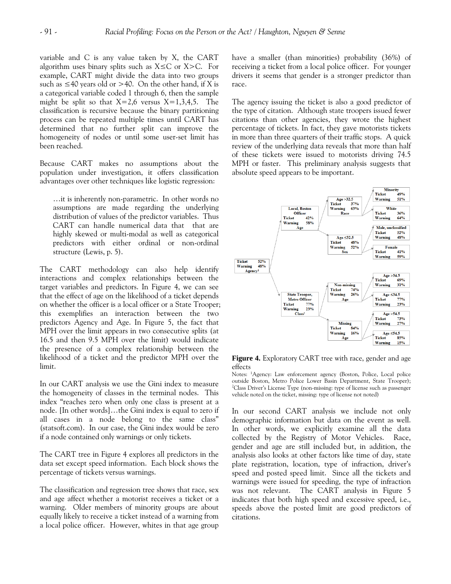variable and C is any value taken by X, the CART algorithm uses binary splits such as  $X \leq C$  or  $X > C$ . For example, CART might divide the data into two groups such as  $\leq$  40 years old or  $>$  40. On the other hand, if X is a categorical variable coded 1 through 6, then the sample might be split so that  $X=2,6$  versus  $X=1,3,4,5$ . The classification is recursive because the binary partitioning process can be repeated multiple times until CART has determined that no further split can improve the homogeneity of nodes or until some user-set limit has been reached.

Because CART makes no assumptions about the population under investigation, it offers classification advantages over other techniques like logistic regression:

…it is inherently non-parametric. In other words no assumptions are made regarding the underlying distribution of values of the predictor variables. Thus CART can handle numerical data that that are highly skewed or multi-modal as well as categorical predictors with either ordinal or non-ordinal structure (Lewis, p. 5).

The CART methodology can also help identify interactions and complex relationships between the target variables and predictors. In Figure 4, we can see that the effect of age on the likelihood of a ticket depends on whether the officer is a local officer or a State Trooper; this exemplifies an interaction between the two predictors Agency and Age. In Figure 5, the fact that MPH over the limit appears in two consecutive splits (at 16.5 and then 9.5 MPH over the limit) would indicate the presence of a complex relationship between the likelihood of a ticket and the predictor MPH over the limit.

In our CART analysis we use the Gini index to measure the homogeneity of classes in the terminal nodes. This index "reaches zero when only one class is present at a node. [In other words]…the Gini index is equal to zero if all cases in a node belong to the same class" (statsoft.com). In our case, the Gini index would be zero if a node contained only warnings or only tickets.

The CART tree in Figure 4 explores all predictors in the data set except speed information. Each block shows the percentage of tickets versus warnings.

The classification and regression tree shows that race, sex and age affect whether a motorist receives a ticket or a warning. Older members of minority groups are about equally likely to receive a ticket instead of a warning from a local police officer. However, whites in that age group have a smaller (than minorities) probability (36%) of receiving a ticket from a local police officer. For younger drivers it seems that gender is a stronger predictor than race.

The agency issuing the ticket is also a good predictor of the type of citation. Although state troopers issued fewer citations than other agencies, they wrote the highest percentage of tickets. In fact, they gave motorists tickets in more than three quarters of their traffic stops. A quick review of the underlying data reveals that more than half of these tickets were issued to motorists driving 74.5 MPH or faster. This preliminary analysis suggests that absolute speed appears to be important.



**Figure 4.** Exploratory CART tree with race, gender and age effects

Notes: <sup>1</sup>Agency: Law enforcement agency (Boston, Police, Local police outside Boston, Metro Police Lower Basin Department, State Trooper); <sup>2</sup>Class Driver's License Type (non-missing: type of license such as passenger vehicle noted on the ticket, missing: type of license not noted)

In our second CART analysis we include not only demographic information but data on the event as well. In other words, we explicitly examine all the data collected by the Registry of Motor Vehicles. Race, gender and age are still included but, in addition, the analysis also looks at other factors like time of day, state plate registration, location, type of infraction, driver's speed and posted speed limit. Since all the tickets and warnings were issued for speeding, the type of infraction was not relevant. The CART analysis in Figure 5 indicates that both high speed and excessive speed, i.e., speeds above the posted limit are good predictors of citations.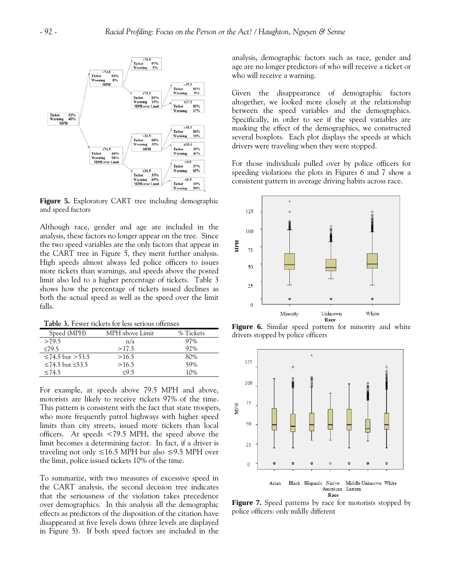

**Figure 5.** Exploratory CART tree including demographic and speed factors

Although race, gender and age are included in the analysis, these factors no longer appear on the tree. Since the two speed variables are the only factors that appear in the CART tree in Figure 5, they merit further analysis. High speeds almost always led police officers to issues more tickets than warnings, and speeds above the posted limit also led to a higher percentage of tickets. Table 3 shows how the percentage of tickets issued declines as both the actual speed as well as the speed over the limit falls.

**Table 3.** Fewer tickets for less serious offenses

| Speed (MPH)       | MPH above Limit | % Tickets |
|-------------------|-----------------|-----------|
| >79.5             | n/a             | 97%       |
| $\leq 79.5$       | >17.5           | 92%       |
| ≤74.5 but >53.5   | >16.5           | 80%       |
| ≤74.5 but $≤53.5$ | >16.5           | 59%       |
| $\leq 74.5$       | $<$ 95          | 10%       |

For example, at speeds above 79.5 MPH and above, motorists are likely to receive tickets 97% of the time. This pattern is consistent with the fact that state troopers, who more frequently patrol highways with higher speed limits than city streets, issued more tickets than local officers. At speeds <79.5 MPH, the speed above the limit becomes a determining factor. In fact, if a driver is traveling not only  $\leq 16.5$  MPH but also  $\leq 9.5$  MPH over the limit, police issued tickets 10% of the time.

To summarize, with two measures of excessive speed in the CART analysis, the second decision tree indicates that the seriousness of the violation takes precedence over demographics. In this analysis all the demographic effects as predictors of the disposition of the citation have disappeared at five levels down (three levels are displayed in Figure 5). If both speed factors are included in the analysis, demographic factors such as race, gender and age are no longer predictors of who will receive a ticket or who will receive a warning.

Given the disappearance of demographic factors altogether, we looked more closely at the relationship between the speed variables and the demographics. Specifically, in order to see if the speed variables are masking the effect of the demographics, we constructed several boxplots. Each plot displays the speeds at which drivers were traveling when they were stopped.

For those individuals pulled over by police officers for speeding violations the plots in Figures 6 and 7 show a consistent pattern in average driving habits across race.



**Figure 6.** Similar speed pattern for minority and white drivers stopped by police officers



**Figure 7.** Speed patterns by race for motorists stopped by police officers: only mildly different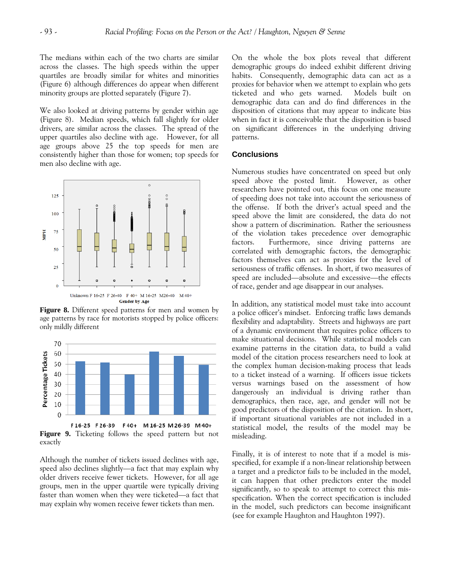The medians within each of the two charts are similar across the classes. The high speeds within the upper quartiles are broadly similar for whites and minorities (Figure 6) although differences do appear when different minority groups are plotted separately (Figure 7).

We also looked at driving patterns by gender within age (Figure 8). Median speeds, which fall slightly for older drivers, are similar across the classes. The spread of the upper quartiles also decline with age. However, for all age groups above 25 the top speeds for men are consistently higher than those for women; top speeds for men also decline with age.



**Figure 8.** Different speed patterns for men and women by age patterns by race for motorists stopped by police officers: only mildly different



**Figure 9.** Ticketing follows the speed pattern but not exactly

Although the number of tickets issued declines with age, speed also declines slightly—a fact that may explain why older drivers receive fewer tickets. However, for all age groups, men in the upper quartile were typically driving faster than women when they were ticketed—a fact that may explain why women receive fewer tickets than men.

On the whole the box plots reveal that different demographic groups do indeed exhibit different driving habits. Consequently, demographic data can act as a proxies for behavior when we attempt to explain who gets ticketed and who gets warned. Models built on demographic data can and do find differences in the disposition of citations that may appear to indicate bias when in fact it is conceivable that the disposition is based on significant differences in the underlying driving patterns.

# **Conclusions**

Numerous studies have concentrated on speed but only speed above the posted limit. However, as other researchers have pointed out, this focus on one measure of speeding does not take into account the seriousness of the offense. If both the driver's actual speed and the speed above the limit are considered, the data do not show a pattern of discrimination. Rather the seriousness of the violation takes precedence over demographic factors. Furthermore, since driving patterns are correlated with demographic factors, the demographic factors themselves can act as proxies for the level of seriousness of traffic offenses. In short, if two measures of speed are included—absolute and excessive—the effects of race, gender and age disappear in our analyses.

In addition, any statistical model must take into account a police officer's mindset. Enforcing traffic laws demands flexibility and adaptability. Streets and highways are part of a dynamic environment that requires police officers to make situational decisions. While statistical models can examine patterns in the citation data, to build a valid model of the citation process researchers need to look at the complex human decision-making process that leads to a ticket instead of a warning. If officers issue tickets versus warnings based on the assessment of how dangerously an individual is driving rather than demographics, then race, age, and gender will not be good predictors of the disposition of the citation. In short, if important situational variables are not included in a statistical model, the results of the model may be misleading.

Finally, it is of interest to note that if a model is misspecified, for example if a non-linear relationship between a target and a predictor fails to be included in the model, it can happen that other predictors enter the model significantly, so to speak to attempt to correct this misspecification. When the correct specification is included in the model, such predictors can become insignificant (see for example Haughton and Haughton 1997).